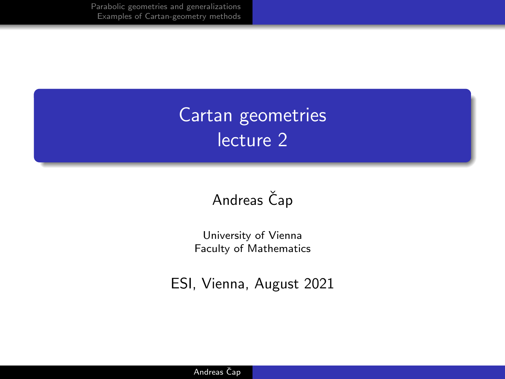# Cartan geometries lecture 2

#### Andreas Čap

University of Vienna Faculty of Mathematics

ESI, Vienna, August 2021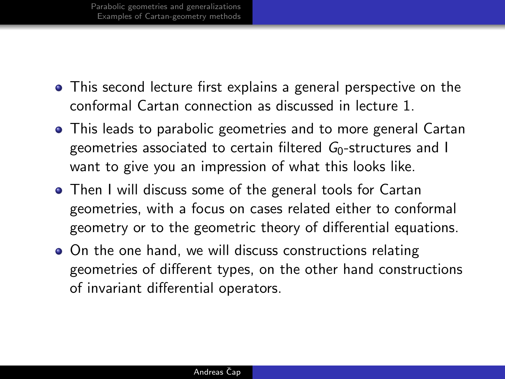- This second lecture first explains a general perspective on the conformal Cartan connection as discussed in lecture 1.
- This leads to parabolic geometries and to more general Cartan geometries associated to certain filtered  $G<sub>0</sub>$ -structures and I want to give you an impression of what this looks like.
- Then I will discuss some of the general tools for Cartan geometries, with a focus on cases related either to conformal geometry or to the geometric theory of differential equations.
- On the one hand, we will discuss constructions relating geometries of different types, on the other hand constructions of invariant differential operators.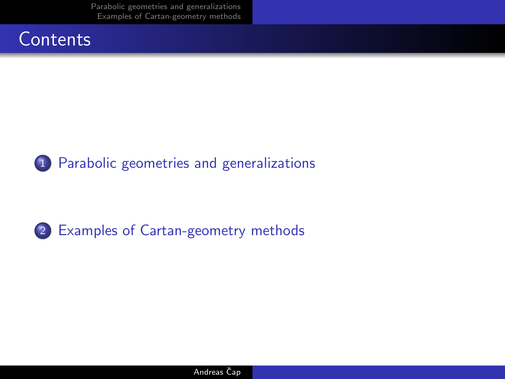



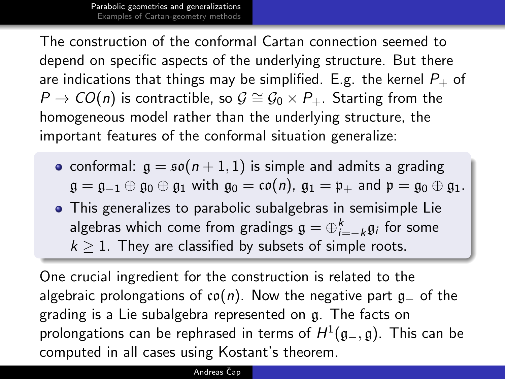<span id="page-3-0"></span>The construction of the conformal Cartan connection seemed to depend on specific aspects of the underlying structure. But there are indications that things may be simplified. E.g. the kernel  $P_+$  of  $P \to CO(n)$  is contractible, so  $\mathcal{G} \cong \mathcal{G}_0 \times P_+$ . Starting from the homogeneous model rather than the underlying structure, the important features of the conformal situation generalize:

- conformal:  $g = \mathfrak{so}(n + 1, 1)$  is simple and admits a grading  $\mathfrak{g} = \mathfrak{g}_{-1} \oplus \mathfrak{g}_0 \oplus \mathfrak{g}_1$  with  $\mathfrak{g}_0 = \mathfrak{co}(n)$ ,  $\mathfrak{g}_1 = \mathfrak{p}_+$  and  $\mathfrak{p} = \mathfrak{g}_0 \oplus \mathfrak{g}_1$ .
- This generalizes to parabolic subalgebras in semisimple Lie algebras which come from gradings  $\mathfrak{g}=\oplus_{i=-k}^k\mathfrak{g}_i$  for some  $k > 1$ . They are classified by subsets of simple roots.

One crucial ingredient for the construction is related to the algebraic prolongations of  $co(n)$ . Now the negative part  $g_$  of the grading is a Lie subalgebra represented on g. The facts on prolongations can be rephrased in terms of  $H^1(\mathfrak{g}_-,\mathfrak{g})$ . This can be computed in all cases using Kostant's theorem.

#### Andreas Čap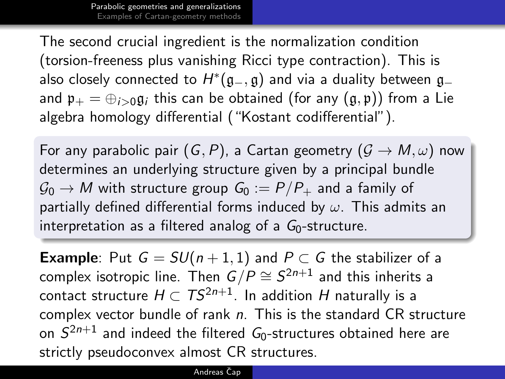The second crucial ingredient is the normalization condition (torsion-freeness plus vanishing Ricci type contraction). This is also closely connected to  $H^*(\mathfrak{g}_-,\mathfrak{g})$  and via a duality between  $\mathfrak{g}_$ and  $\mathfrak{p}_+ = \bigoplus_{i>0} \mathfrak{g}_i$  this can be obtained (for any  $(\mathfrak{g}, \mathfrak{p})$ ) from a Lie algebra homology differential ("Kostant codifferential").

For any parabolic pair  $(G, P)$ , a Cartan geometry  $(G \rightarrow M, \omega)$  now determines an underlying structure given by a principal bundle  $\mathcal{G}_0 \to M$  with structure group  $G_0 := P/P_+$  and a family of partially defined differential forms induced by  $\omega$ . This admits an interpretation as a filtered analog of a  $G_0$ -structure.

**Example**: Put  $G = SU(n+1,1)$  and  $P \subset G$  the stabilizer of a complex isotropic line. Then  $G/P \cong \mathcal{S}^{2n+1}$  and this inherits a contact structure  $H \subset TS^{2n+1}$ . In addition H naturally is a complex vector bundle of rank  $n$ . This is the standard CR structure on  $S^{2n+1}$  and indeed the filtered  $\mathit{G}_{0}$ -structures obtained here are strictly pseudoconvex almost CR structures.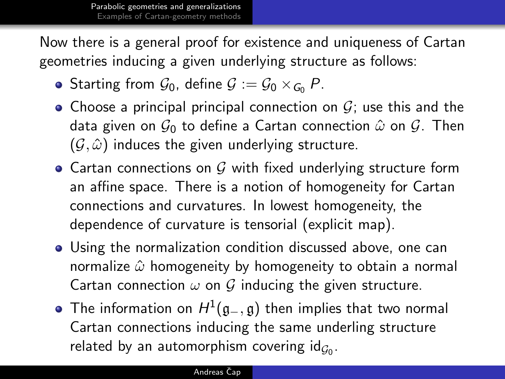Now there is a general proof for existence and uniqueness of Cartan geometries inducing a given underlying structure as follows:

- Starting from  $\mathcal{G}_0$ , define  $\mathcal{G} = \mathcal{G}_0 \times_{\mathcal{G}_0} P$ .
- Choose a principal principal connection on  $G$ ; use this and the data given on  $\mathcal{G}_0$  to define a Cartan connection  $\hat{\omega}$  on  $\mathcal{G}$ . Then  $(\mathcal{G}, \hat{\omega})$  induces the given underlying structure.
- Cartan connections on  $G$  with fixed underlying structure form an affine space. There is a notion of homogeneity for Cartan connections and curvatures. In lowest homogeneity, the dependence of curvature is tensorial (explicit map).
- Using the normalization condition discussed above, one can normalize  $\hat{\omega}$  homogeneity by homogeneity to obtain a normal Cartan connection  $\omega$  on  $\mathcal G$  inducing the given structure.
- The information on  $H^1(\mathfrak{g}_-,\mathfrak{g})$  then implies that two normal Cartan connections inducing the same underling structure related by an automorphism covering  $\mathsf{id}_{\mathcal{G}_0}.$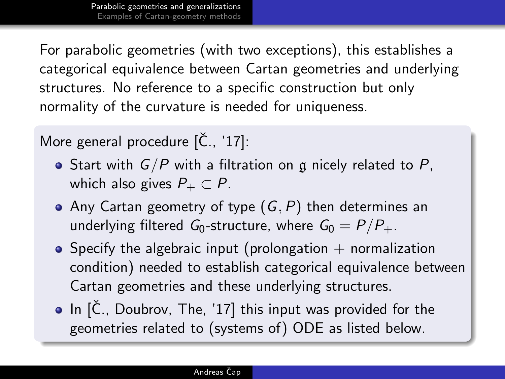For parabolic geometries (with two exceptions), this establishes a categorical equivalence between Cartan geometries and underlying structures. No reference to a specific construction but only normality of the curvature is needed for uniqueness.

More general procedure  $[\check{C}, \check{c}]$ :

- Start with  $G/P$  with a filtration on g nicely related to P, which also gives  $P_+ \subset P$ .
- Any Cartan geometry of type  $(G, P)$  then determines an underlying filtered G<sub>0</sub>-structure, where  $G_0 = P/P_+$ .
- $\bullet$  Specify the algebraic input (prolongation  $+$  normalization condition) needed to establish categorical equivalence between Cartan geometries and these underlying structures.
- $\bullet$  In  $[\check{C}]$ . Doubrov, The, '17 this input was provided for the geometries related to (systems of) ODE as listed below.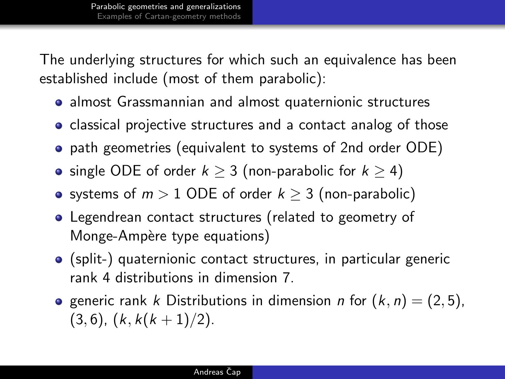The underlying structures for which such an equivalence has been established include (most of them parabolic):

- almost Grassmannian and almost quaternionic structures
- classical projective structures and a contact analog of those
- path geometries (equivalent to systems of 2nd order ODE)
- single ODE of order  $k \geq 3$  (non-parabolic for  $k \geq 4$ )
- systems of  $m > 1$  ODE of order  $k \geq 3$  (non-parabolic)
- Legendrean contact structures (related to geometry of Monge-Ampère type equations)
- (split-) quaternionic contact structures, in particular generic rank 4 distributions in dimension 7.
- **•** generic rank k Distributions in dimension n for  $(k, n) = (2, 5)$ ,  $(3, 6)$ ,  $(k, k(k+1)/2)$ .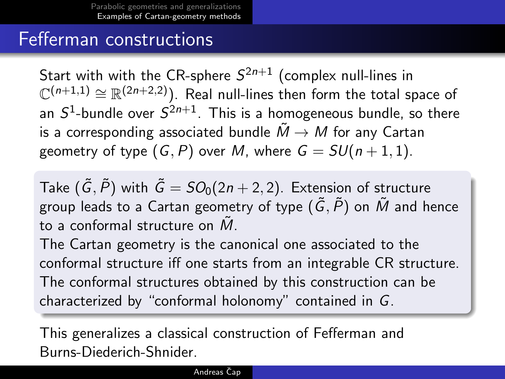## <span id="page-8-0"></span>Fefferman constructions

Start with with the CR-sphere  $\mathcal{S}^{2n+1}$  (complex null-lines in  $\mathbb{C}^{(n+1,1)}\cong\mathbb{R}^{(2n+2,2)}$ ). Real null-lines then form the total space of an  $S^1$ -bundle over  $S^{2n+1}$ . This is a homogeneous bundle, so there is a corresponding associated bundle  $\tilde{M} \rightarrow M$  for any Cartan geometry of type  $(G, P)$  over M, where  $G = SU(n + 1, 1)$ .

Take  $(\tilde{G}, \tilde{P})$  with  $\tilde{G} = SO_0(2n + 2, 2)$ . Extension of structure group leads to a Cartan geometry of type  $(\tilde{G}, \tilde{P})$  on  $\tilde{M}$  and hence to a conformal structure on  $M$ .

The Cartan geometry is the canonical one associated to the conformal structure iff one starts from an integrable CR structure. The conformal structures obtained by this construction can be characterized by "conformal holonomy" contained in G.

This generalizes a classical construction of Fefferman and Burns-Diederich-Shnider.

#### Andreas Čap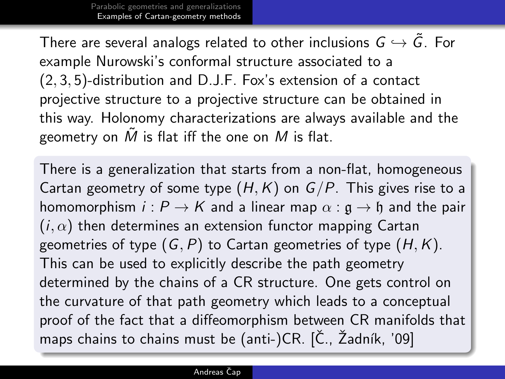There are several analogs related to other inclusions  $G \hookrightarrow \tilde{G}$ . For example Nurowski's conformal structure associated to a (2, 3, 5)-distribution and D.J.F. Fox's extension of a contact projective structure to a projective structure can be obtained in this way. Holonomy characterizations are always available and the geometry on  $\tilde{M}$  is flat iff the one on  $M$  is flat.

There is a generalization that starts from a non-flat, homogeneous Cartan geometry of some type  $(H, K)$  on  $G/P$ . This gives rise to a homomorphism  $i : P \to K$  and a linear map  $\alpha : \mathfrak{g} \to \mathfrak{h}$  and the pair  $(i, \alpha)$  then determines an extension functor mapping Cartan geometries of type  $(G, P)$  to Cartan geometries of type  $(H, K)$ . This can be used to explicitly describe the path geometry determined by the chains of a CR structure. One gets control on the curvature of that path geometry which leads to a conceptual proof of the fact that a diffeomorphism between CR manifolds that maps chains to chains must be (anti-)CR. [Č., Žadník, '09]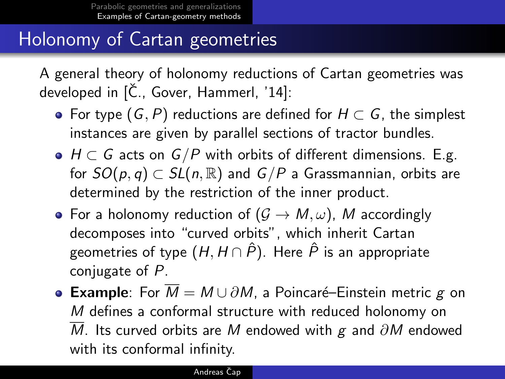# Holonomy of Cartan geometries

A general theory of holonomy reductions of Cartan geometries was developed in  $[\check{C}]$ ., Gover, Hammerl, '14]:

- For type  $(G, P)$  reductions are defined for  $H \subset G$ , the simplest instances are given by parallel sections of tractor bundles.
- $\bullet$   $H \subset G$  acts on  $G/P$  with orbits of different dimensions. E.g. for  $SO(p, q) \subset SL(n, \mathbb{R})$  and  $G/P$  a Grassmannian, orbits are determined by the restriction of the inner product.
- For a holonomy reduction of  $(G \to M, \omega)$ , M accordingly decomposes into "curved orbits", which inherit Cartan geometries of type  $(H, H \cap \hat{P})$ . Here  $\hat{P}$  is an appropriate conjugate of P.
- **Example**: For  $\overline{M} = M \cup \partial M$ , a Poincaré–Einstein metric g on M defines a conformal structure with reduced holonomy on  $\overline{M}$ . Its curved orbits are M endowed with g and  $\partial M$  endowed with its conformal infinity.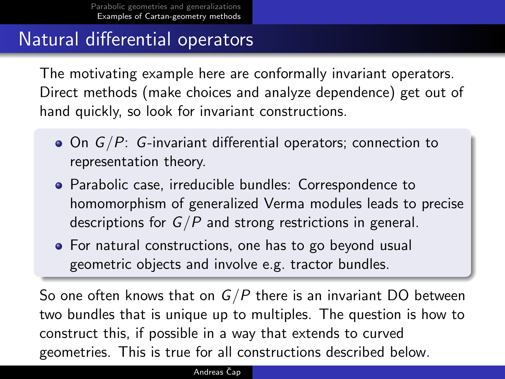# Natural differential operators

The motivating example here are conformally invariant operators. Direct methods (make choices and analyze dependence) get out of hand quickly, so look for invariant constructions.

- $\bullet$  On  $G/P$ : G-invariant differential operators; connection to representation theory.
- Parabolic case, irreducible bundles: Correspondence to homomorphism of generalized Verma modules leads to precise descriptions for  $G/P$  and strong restrictions in general.
- For natural constructions, one has to go beyond usual geometric objects and involve e.g. tractor bundles.

So one often knows that on  $G/P$  there is an invariant DO between two bundles that is unique up to multiples. The question is how to construct this, if possible in a way that extends to curved geometries. This is true for all constructions described below.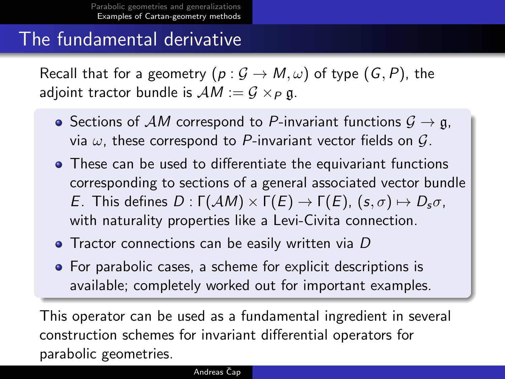### The fundamental derivative

Recall that for a geometry  $(p: \mathcal{G} \to M, \omega)$  of type  $(G, P)$ , the adjoint tractor bundle is  $AM := G \times_P \mathfrak{g}$ .

- Sections of AM correspond to P-invariant functions  $G \rightarrow \mathfrak{g}$ , via  $\omega$ , these correspond to P-invariant vector fields on  $\mathcal{G}$ .
- These can be used to differentiate the equivariant functions corresponding to sections of a general associated vector bundle E. This defines  $D : \Gamma(\mathcal{A}M) \times \Gamma(E) \rightarrow \Gamma(E)$ ,  $(s, \sigma) \mapsto D_s \sigma$ , with naturality properties like a Levi-Civita connection.
- Tractor connections can be easily written via D
- For parabolic cases, a scheme for explicit descriptions is available; completely worked out for important examples.

This operator can be used as a fundamental ingredient in several construction schemes for invariant differential operators for parabolic geometries.

#### Andreas Čap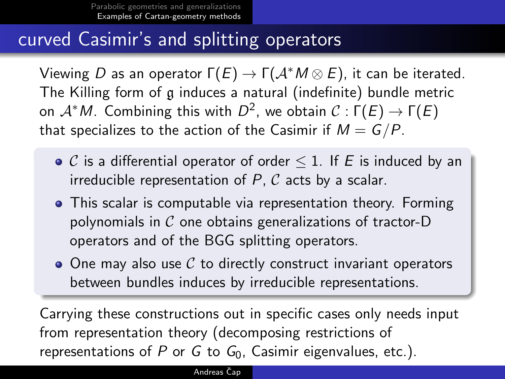### curved Casimir's and splitting operators

Viewing D as an operator  $\Gamma(E) \to \Gamma(\mathcal{A}^* M \otimes E)$ , it can be iterated. The Killing form of g induces a natural (indefinite) bundle metric on  $\mathcal{A}^\ast M$ . Combining this with  $D^2$ , we obtain  $\mathcal{C}:\mathsf{\Gamma}(E)\to \mathsf{\Gamma}(E)$ that specializes to the action of the Casimir if  $M = G/P$ .

- $\bullet$  C is a differential operator of order  $\leq$  1. If E is induced by an irreducible representation of  $P$ ,  $C$  acts by a scalar.
- This scalar is computable via representation theory. Forming polynomials in  $\mathcal C$  one obtains generalizations of tractor-D operators and of the BGG splitting operators.
- $\bullet$  One may also use C to directly construct invariant operators between bundles induces by irreducible representations.

Carrying these constructions out in specific cases only needs input from representation theory (decomposing restrictions of representations of P or G to  $G_0$ , Casimir eigenvalues, etc.).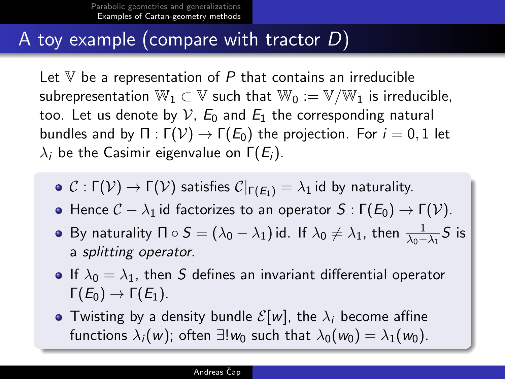### A toy example (compare with tractor D)

Let  $V$  be a representation of  $P$  that contains an irreducible subrepresentation  $\mathbb{W}_1 \subset \mathbb{V}$  such that  $\mathbb{W}_0 := \mathbb{V}/\mathbb{W}_1$  is irreducible, too. Let us denote by  $V$ ,  $E_0$  and  $E_1$  the corresponding natural bundles and by  $\Pi : \Gamma(\mathcal{V}) \to \Gamma(E_0)$  the projection. For  $i = 0, 1$  let  $\lambda_i$  be the Casimir eigenvalue on  $\Gamma(E_i)$ .

- $\bullet$  C :  $\Gamma(\mathcal{V}) \to \Gamma(\mathcal{V})$  satisfies  $\mathcal{C}|_{\Gamma(E_1)} = \lambda_1$  id by naturality.
- Hence  $C \lambda_1$  id factorizes to an operator  $S : \Gamma(E_0) \to \Gamma(V)$ .
- By naturality  $\Pi \circ S = (\lambda_0 \lambda_1)$  id. If  $\lambda_0 \neq \lambda_1$ , then  $\frac{1}{\lambda_0 \lambda_1} S$  is a splitting operator.
- If  $\lambda_0 = \lambda_1$ , then S defines an invariant differential operator  $\Gamma(E_0) \rightarrow \Gamma(E_1)$ .
- Twisting by a density bundle  $\mathcal{E}[w]$ , the  $\lambda_i$  become affine functions  $\lambda_i(w)$ ; often  $\exists! w_0$  such that  $\lambda_0(w_0) = \lambda_1(w_0)$ .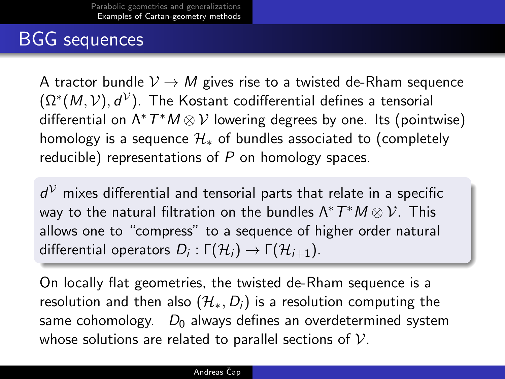## BGG sequences

A tractor bundle  $V \rightarrow M$  gives rise to a twisted de-Rham sequence  $(\Omega^*(M, \mathcal{V}), d^{\mathcal{V}}).$  The Kostant codifferential defines a tensorial differential on  $\Lambda^* \, T^* M \otimes \mathcal{V}$  lowering degrees by one. Its (pointwise) homology is a sequence  $\mathcal{H}_*$  of bundles associated to (completely reducible) representations of  $P$  on homology spaces.

 $d^{\mathcal{V}}$  mixes differential and tensorial parts that relate in a specific way to the natural filtration on the bundles  $\Lambda^* \, T^* M \otimes \mathcal{V}$ . This allows one to "compress" to a sequence of higher order natural differential operators  $D_i: \Gamma(\mathcal{H}_i) \rightarrow \Gamma(\mathcal{H}_{i+1})$ .

On locally flat geometries, the twisted de-Rham sequence is a resolution and then also  $(\mathcal{H}_*, D_i)$  is a resolution computing the same cohomology.  $D_0$  always defines an overdetermined system whose solutions are related to parallel sections of  $V$ .